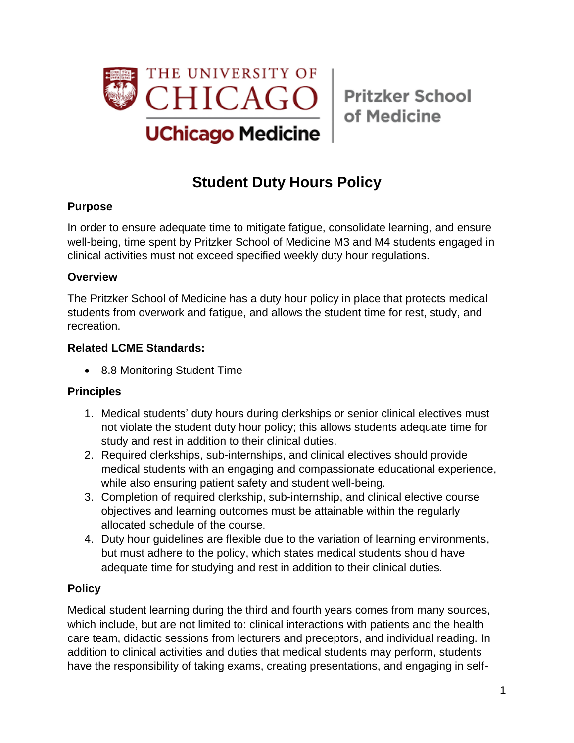

of Medicine

# **Student Duty Hours Policy**

### **Purpose**

In order to ensure adequate time to mitigate fatigue, consolidate learning, and ensure well-being, time spent by Pritzker School of Medicine M3 and M4 students engaged in clinical activities must not exceed specified weekly duty hour regulations.

### **Overview**

The Pritzker School of Medicine has a duty hour policy in place that protects medical students from overwork and fatigue, and allows the student time for rest, study, and recreation.

## **Related LCME Standards:**

• 8.8 Monitoring Student Time

# **Principles**

- 1. Medical students' duty hours during clerkships or senior clinical electives must not violate the student duty hour policy; this allows students adequate time for study and rest in addition to their clinical duties.
- 2. Required clerkships, sub-internships, and clinical electives should provide medical students with an engaging and compassionate educational experience, while also ensuring patient safety and student well-being.
- 3. Completion of required clerkship, sub-internship, and clinical elective course objectives and learning outcomes must be attainable within the regularly allocated schedule of the course.
- 4. Duty hour guidelines are flexible due to the variation of learning environments, but must adhere to the policy, which states medical students should have adequate time for studying and rest in addition to their clinical duties.

# **Policy**

Medical student learning during the third and fourth years comes from many sources, which include, but are not limited to: clinical interactions with patients and the health care team, didactic sessions from lecturers and preceptors, and individual reading. In addition to clinical activities and duties that medical students may perform, students have the responsibility of taking exams, creating presentations, and engaging in self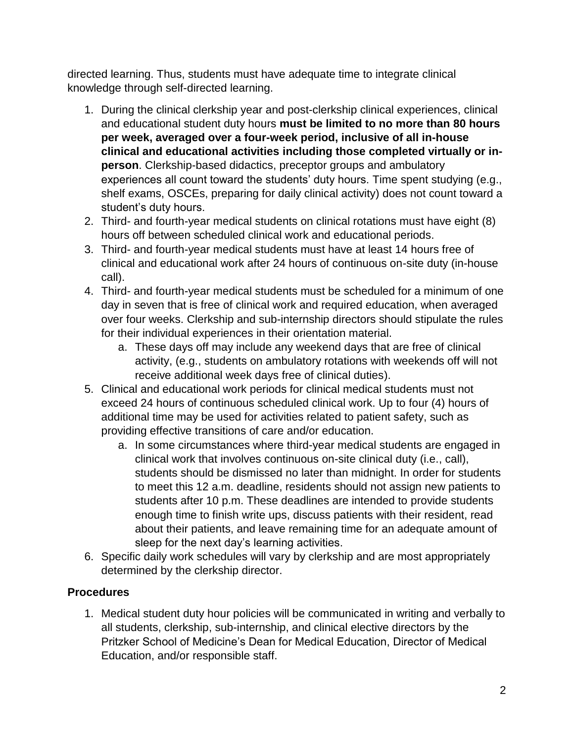directed learning. Thus, students must have adequate time to integrate clinical knowledge through self-directed learning.

- 1. During the clinical clerkship year and post-clerkship clinical experiences, clinical and educational student duty hours **must be limited to no more than 80 hours per week, averaged over a four-week period, inclusive of all in-house clinical and educational activities including those completed virtually or inperson**. Clerkship-based didactics, preceptor groups and ambulatory experiences all count toward the students' duty hours. Time spent studying (e.g., shelf exams, OSCEs, preparing for daily clinical activity) does not count toward a student's duty hours.
- 2. Third- and fourth-year medical students on clinical rotations must have eight (8) hours off between scheduled clinical work and educational periods.
- 3. Third- and fourth-year medical students must have at least 14 hours free of clinical and educational work after 24 hours of continuous on-site duty (in-house call).
- 4. Third- and fourth-year medical students must be scheduled for a minimum of one day in seven that is free of clinical work and required education, when averaged over four weeks. Clerkship and sub-internship directors should stipulate the rules for their individual experiences in their orientation material.
	- a. These days off may include any weekend days that are free of clinical activity, (e.g., students on ambulatory rotations with weekends off will not receive additional week days free of clinical duties).
- 5. Clinical and educational work periods for clinical medical students must not exceed 24 hours of continuous scheduled clinical work. Up to four (4) hours of additional time may be used for activities related to patient safety, such as providing effective transitions of care and/or education.
	- a. In some circumstances where third-year medical students are engaged in clinical work that involves continuous on-site clinical duty (i.e., call), students should be dismissed no later than midnight. In order for students to meet this 12 a.m. deadline, residents should not assign new patients to students after 10 p.m. These deadlines are intended to provide students enough time to finish write ups, discuss patients with their resident, read about their patients, and leave remaining time for an adequate amount of sleep for the next day's learning activities.
- 6. Specific daily work schedules will vary by clerkship and are most appropriately determined by the clerkship director.

# **Procedures**

1. Medical student duty hour policies will be communicated in writing and verbally to all students, clerkship, sub-internship, and clinical elective directors by the Pritzker School of Medicine's Dean for Medical Education, Director of Medical Education, and/or responsible staff.